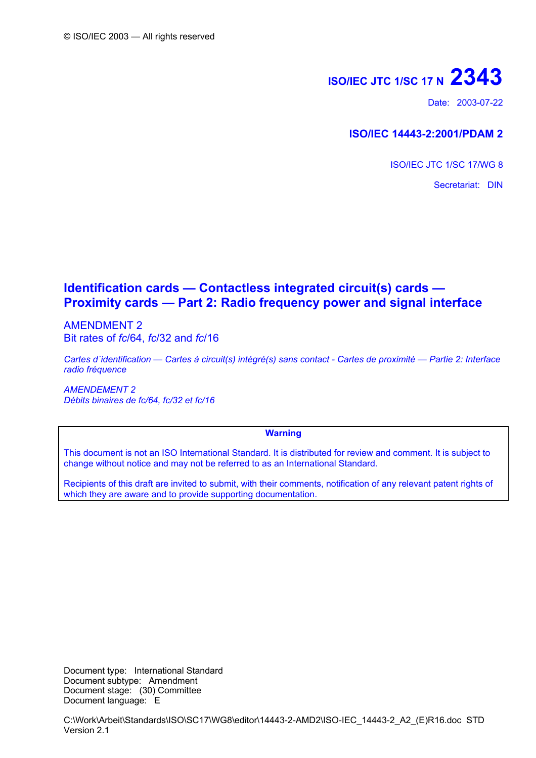# **ISO/IEC JTC 1/SC 17 N 2343**

Date: 2003-07-22

### **ISO/IEC 14443-2:2001/PDAM 2**

ISO/IEC JTC 1/SC 17/WG 8

Secretariat: DIN

## **Identification cards — Contactless integrated circuit(s) cards — Proximity cards — Part 2: Radio frequency power and signal interface**

AMENDMENT 2 Bit rates of *fc*/64, *fc*/32 and *fc*/16

*Cartes d´identification — Cartes à circuit(s) intégré(s) sans contact - Cartes de proximité — Partie 2: Interface radio fréquence* 

*AMENDEMENT 2 Débits binaires de fc/64, fc/32 et fc/16*

#### **Warning**

This document is not an ISO International Standard. It is distributed for review and comment. It is subject to change without notice and may not be referred to as an International Standard.

Recipients of this draft are invited to submit, with their comments, notification of any relevant patent rights of which they are aware and to provide supporting documentation.

Document type: International Standard Document subtype: Amendment Document stage: (30) Committee Document language: E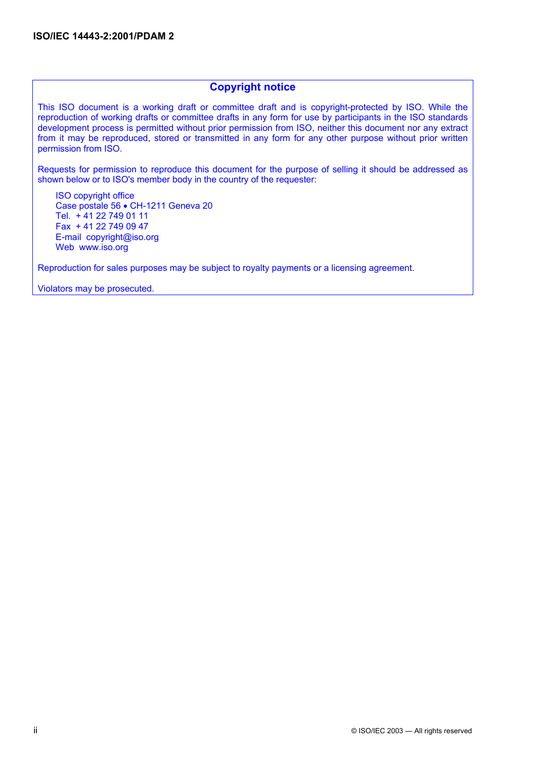#### **Copyright notice**

This ISO document is a working draft or committee draft and is copyright-protected by ISO. While the reproduction of working drafts or committee drafts in any form for use by participants in the ISO standards development process is permitted without prior permission from ISO, neither this document nor any extract from it may be reproduced, stored or transmitted in any form for any other purpose without prior written permission from ISO.

Requests for permission to reproduce this document for the purpose of selling it should be addressed as shown below or to ISO's member body in the country of the requester:

ISO copyright office Case postale 56 • CH-1211 Geneva 20 Tel. + 41 22 749 01 11 Fax + 41 22 749 09 47 E-mail copyright@iso.org Web www.iso.org

Reproduction for sales purposes may be subject to royalty payments or a licensing agreement.

Violators may be prosecuted.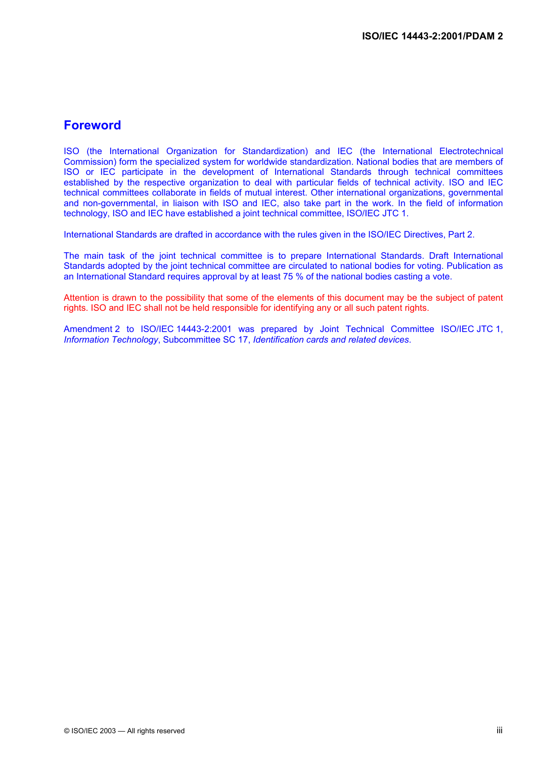## **Foreword**

ISO (the International Organization for Standardization) and IEC (the International Electrotechnical Commission) form the specialized system for worldwide standardization. National bodies that are members of ISO or IEC participate in the development of International Standards through technical committees established by the respective organization to deal with particular fields of technical activity. ISO and IEC technical committees collaborate in fields of mutual interest. Other international organizations, governmental and non-governmental, in liaison with ISO and IEC, also take part in the work. In the field of information technology, ISO and IEC have established a joint technical committee, ISO/IEC JTC 1.

International Standards are drafted in accordance with the rules given in the ISO/IEC Directives, Part 2.

The main task of the joint technical committee is to prepare International Standards. Draft International Standards adopted by the joint technical committee are circulated to national bodies for voting. Publication as an International Standard requires approval by at least 75 % of the national bodies casting a vote.

Attention is drawn to the possibility that some of the elements of this document may be the subject of patent rights. ISO and IEC shall not be held responsible for identifying any or all such patent rights.

Amendment 2 to ISO/IEC 14443-2:2001 was prepared by Joint Technical Committee ISO/IEC JTC 1, *Information Technology*, Subcommittee SC 17, *Identification cards and related devices*.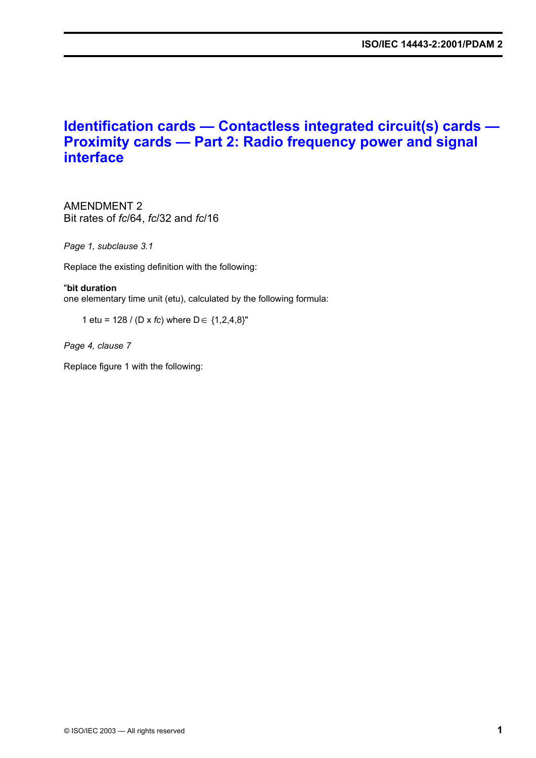## **Identification cards — Contactless integrated circuit(s) cards — Proximity cards — Part 2: Radio frequency power and signal interface**

AMENDMENT 2 Bit rates of *fc*/64, *fc*/32 and *fc*/16

*Page 1, subclause 3.1* 

Replace the existing definition with the following:

#### "**bit duration**

one elementary time unit (etu), calculated by the following formula:

1 etu = 128 / (D x *fc*) where D∈ {1,2,4,8}"

*Page 4, clause 7* 

Replace figure 1 with the following: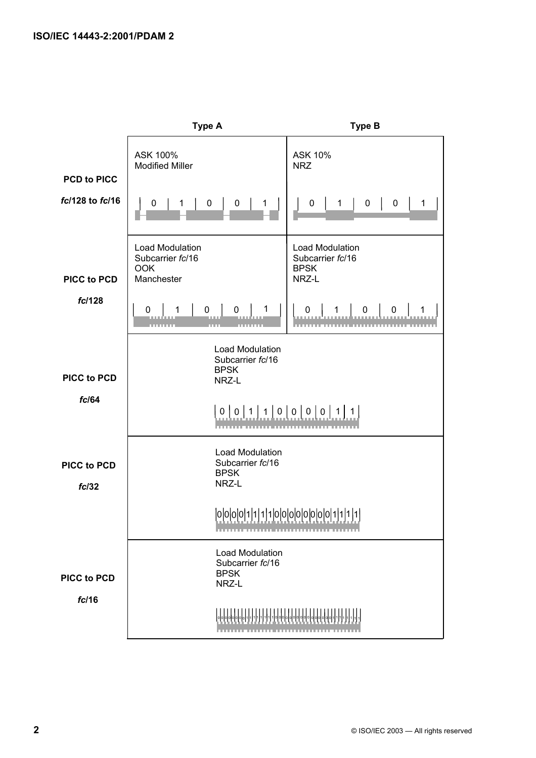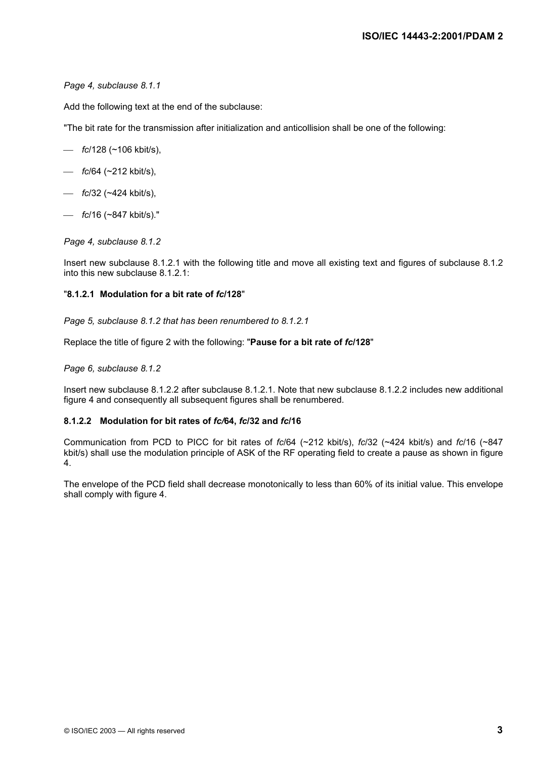*Page 4, subclause 8.1.1* 

Add the following text at the end of the subclause:

"The bit rate for the transmission after initialization and anticollision shall be one of the following:

- *fc*/128 (~106 kbit/s),
- *fc*/64 (~212 kbit/s),
- *fc*/32 (~424 kbit/s),
- *fc*/16 (~847 kbit/s)."

#### *Page 4, subclause 8.1.2*

Insert new subclause 8.1.2.1 with the following title and move all existing text and figures of subclause 8.1.2 into this new subclause 8.1.2.1:

#### "**8.1.2.1 Modulation for a bit rate of** *fc***/128**"

*Page 5, subclause 8.1.2 that has been renumbered to 8.1.2.1* 

Replace the title of figure 2 with the following: "**Pause for a bit rate of** *fc***/128**"

#### *Page 6, subclause 8.1.2*

Insert new subclause 8.1.2.2 after subclause 8.1.2.1. Note that new subclause 8.1.2.2 includes new additional figure 4 and consequently all subsequent figures shall be renumbered.

#### **8.1.2.2 Modulation for bit rates of** *fc/***64,** *fc***/32 and** *fc***/16**

Communication from PCD to PICC for bit rates of *fc*/64 (~212 kbit/s), *fc*/32 (~424 kbit/s) and *fc*/16 (~847 kbit/s) shall use the modulation principle of ASK of the RF operating field to create a pause as shown in figure 4.

The envelope of the PCD field shall decrease monotonically to less than 60% of its initial value. This envelope shall comply with figure 4.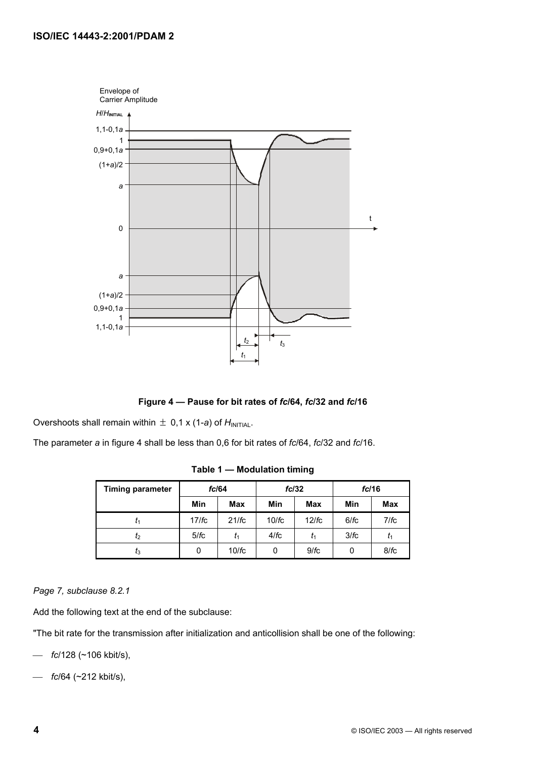

**Figure 4 — Pause for bit rates of** *fc***/64,** *fc***/32 and** *fc***/16** 

Overshoots shall remain within  $\pm$  0,1 x (1-*a*) of  $H_{\text{INITAL}}$ .

The parameter *a* in figure 4 shall be less than 0,6 for bit rates of *fc*/64, *fc*/32 and *fc*/16.

| <b>Timing parameter</b> | fc/64 |            | fc/32 |            | fc/16 |      |
|-------------------------|-------|------------|-------|------------|-------|------|
|                         | Min   | <b>Max</b> | Min   | <b>Max</b> | Min   | Max  |
|                         | 17/fc | 21/fc      | 10/fc | 12/fc      | 6/fc  | 7/fc |
| I <sub>2</sub>          | 5/fc  | t1         | 4/fc  | $t_1$      | 3/fc  | t1   |
| $I_3$                   | 0     | 10/fc      | 0     | 9/fc       | 0     | 8/fc |

**Table 1 — Modulation timing** 

*Page 7, subclause 8.2.1* 

Add the following text at the end of the subclause:

"The bit rate for the transmission after initialization and anticollision shall be one of the following:

- *fc*/128 (~106 kbit/s),
- *fc*/64 (~212 kbit/s),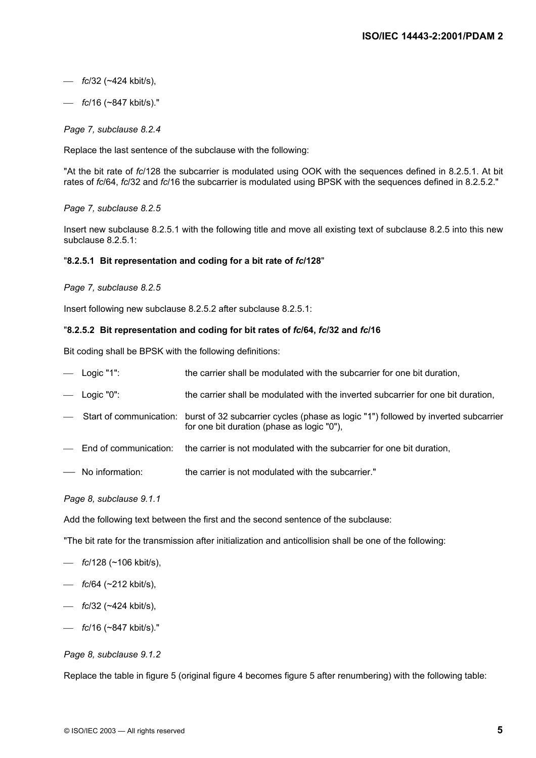- *fc*/32 (~424 kbit/s),
- *fc*/16 (~847 kbit/s)."

*Page 7, subclause 8.2.4* 

Replace the last sentence of the subclause with the following:

"At the bit rate of *fc*/128 the subcarrier is modulated using OOK with the sequences defined in 8.2.5.1. At bit rates of *fc*/64, *fc*/32 and *fc*/16 the subcarrier is modulated using BPSK with the sequences defined in 8.2.5.2."

*Page 7, subclause 8.2.5* 

Insert new subclause 8.2.5.1 with the following title and move all existing text of subclause 8.2.5 into this new subclause 8.2.5.1:

#### "**8.2.5.1 Bit representation and coding for a bit rate of** *fc***/128**"

*Page 7, subclause 8.2.5* 

Insert following new subclause 8.2.5.2 after subclause 8.2.5.1:

#### "**8.2.5.2 Bit representation and coding for bit rates of** *fc***/64,** *fc***/32 and** *fc***/16**

Bit coding shall be BPSK with the following definitions:

| $-$ Logic "1": | the carrier shall be modulated with the subcarrier for one bit duration,                                                                                   |
|----------------|------------------------------------------------------------------------------------------------------------------------------------------------------------|
| $-$ Logic "0": | the carrier shall be modulated with the inverted subcarrier for one bit duration,                                                                          |
|                | - Start of communication: burst of 32 subcarrier cycles (phase as logic "1") followed by inverted subcarrier<br>for one bit duration (phase as logic "0"), |

- End of communication: the carrier is not modulated with the subcarrier for one bit duration,
- No information: the carrier is not modulated with the subcarrier."

#### *Page 8, subclause 9.1.1*

Add the following text between the first and the second sentence of the subclause:

"The bit rate for the transmission after initialization and anticollision shall be one of the following:

- *fc*/128 (~106 kbit/s),
- *fc*/64 (~212 kbit/s),
- *fc*/32 (~424 kbit/s),
- *fc*/16 (~847 kbit/s)."

#### *Page 8, subclause 9.1.2*

Replace the table in figure 5 (original figure 4 becomes figure 5 after renumbering) with the following table: